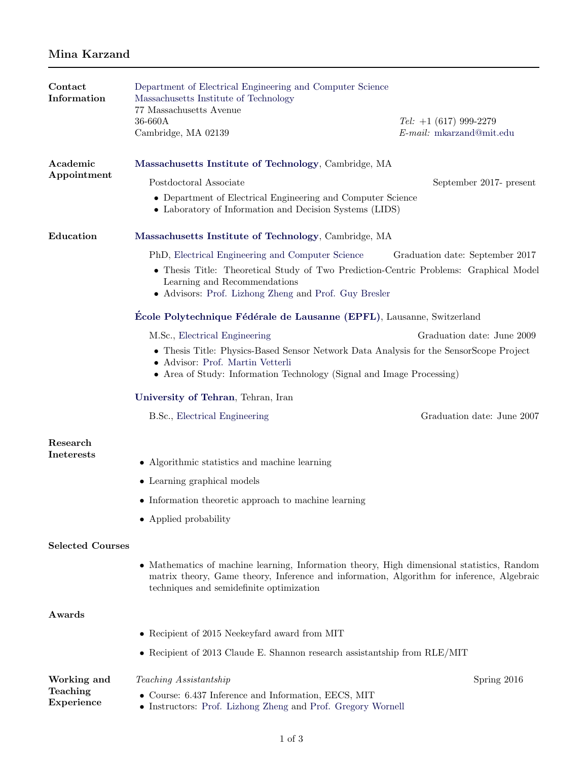## Mina Karzand

| Contact<br>Information  | Department of Electrical Engineering and Computer Science<br>Massachusetts Institute of Technology<br>77 Massachusetts Avenue                                                                                                       |                                                         |
|-------------------------|-------------------------------------------------------------------------------------------------------------------------------------------------------------------------------------------------------------------------------------|---------------------------------------------------------|
|                         | 36-660A<br>Cambridge, MA 02139                                                                                                                                                                                                      | $Tel: +1 (617) 999-2279$<br>$E$ -mail: mkarzand@mit.edu |
| Academic<br>Appointment | Massachusetts Institute of Technology, Cambridge, MA                                                                                                                                                                                |                                                         |
|                         | Postdoctoral Associate                                                                                                                                                                                                              | September 2017- present                                 |
|                         | • Department of Electrical Engineering and Computer Science<br>• Laboratory of Information and Decision Systems (LIDS)                                                                                                              |                                                         |
| Education               | Massachusetts Institute of Technology, Cambridge, MA                                                                                                                                                                                |                                                         |
|                         | PhD, Electrical Engineering and Computer Science                                                                                                                                                                                    | Graduation date: September 2017                         |
|                         | • Thesis Title: Theoretical Study of Two Prediction-Centric Problems: Graphical Model<br>Learning and Recommendations<br>• Advisors: Prof. Lizhong Zheng and Prof. Guy Bresler                                                      |                                                         |
|                         | Ecole Polytechnique Fédérale de Lausanne (EPFL), Lausanne, Switzerland                                                                                                                                                              |                                                         |
|                         | M.Sc., Electrical Engineering                                                                                                                                                                                                       | Graduation date: June 2009                              |
|                         | • Thesis Title: Physics-Based Sensor Network Data Analysis for the SensorScope Project<br>• Advisor: Prof. Martin Vetterli<br>• Area of Study: Information Technology (Signal and Image Processing)                                 |                                                         |
|                         | University of Tehran, Tehran, Iran                                                                                                                                                                                                  |                                                         |
|                         | B.Sc., Electrical Engineering                                                                                                                                                                                                       | Graduation date: June 2007                              |
| Research                |                                                                                                                                                                                                                                     |                                                         |
| <b>Ineterests</b>       | • Algorithmic statistics and machine learning                                                                                                                                                                                       |                                                         |
|                         | • Learning graphical models                                                                                                                                                                                                         |                                                         |
|                         | • Information theoretic approach to machine learning                                                                                                                                                                                |                                                         |
|                         | • Applied probability                                                                                                                                                                                                               |                                                         |
| <b>Selected Courses</b> |                                                                                                                                                                                                                                     |                                                         |
|                         | • Mathematics of machine learning, Information theory, High dimensional statistics, Random<br>matrix theory, Game theory, Inference and information, Algorithm for inference, Algebraic<br>techniques and semidefinite optimization |                                                         |
| Awards                  |                                                                                                                                                                                                                                     |                                                         |
|                         | $\bullet\,$ Recipient of 2015 Neekeyfard award from MIT                                                                                                                                                                             |                                                         |
|                         | • Recipient of 2013 Claude E. Shannon research assistantship from RLE/MIT                                                                                                                                                           |                                                         |
| Working and             | Teaching Assistantship                                                                                                                                                                                                              | Spring 2016                                             |
| Teaching<br>Experience  | Course: 6.437 Inference and Information, EECS, MIT<br>• Instructors: Prof. Lizhong Zheng and Prof. Gregory Wornell                                                                                                                  |                                                         |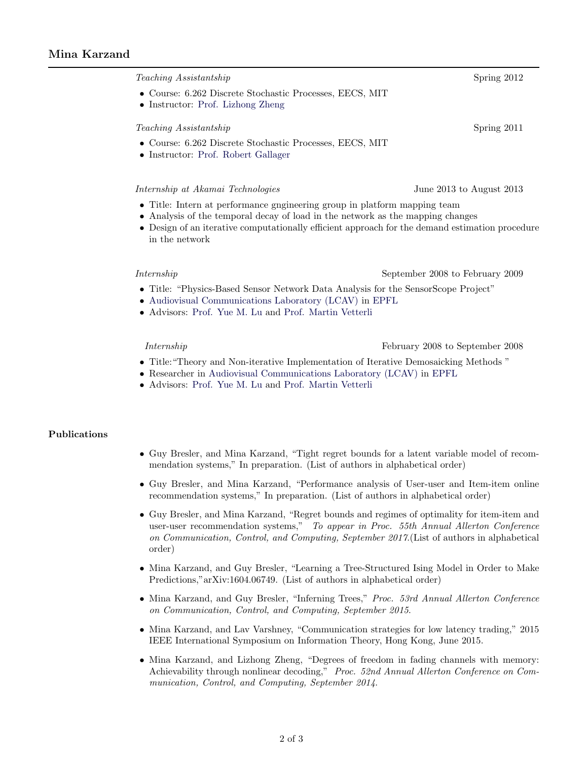## Mina Karzand

Teaching Assistantship Spring 2012 • Course: 6.262 Discrete Stochastic Processes, EECS, MIT • Instructor: [Prof. Lizhong Zheng](http://web.mit.edu/lizhong/www/) Teaching Assistantship Spring 2011 • Course: 6.262 Discrete Stochastic Processes, EECS, MIT • Instructor: [Prof. Robert Gallager](http://www.rle.mit.edu/rgallager/) Internship at Akamai Technologies June 2013 to August 2013 • Title: Intern at performance gngineering group in platform mapping team • Analysis of the temporal decay of load in the network as the mapping changes • Design of an iterative computationally efficient approach for the demand estimation procedure in the network Internship September 2008 to February 2009 • Title: "Physics-Based Sensor Network Data Analysis for the SensorScope Project" • [Audiovisual Communications Laboratory \(LCAV\)](http://lcavwww.epfl.ch/) in [EPFL](http://www.epfl.ch/) • Advisors: [Prof. Yue M. Lu](http://lcav.epfl.ch/~lu/) and [Prof. Martin Vetterli](http://people.epfl.ch/martin.vetterli)

Internship February 2008 to September 2008

- Title:"Theory and Non-iterative Implementation of Iterative Demosaicking Methods "
- Researcher in [Audiovisual Communications Laboratory \(LCAV\)](http://lcavwww.epfl.ch/) in [EPFL](http://www.epfl.ch/)
- Advisors: [Prof. Yue M. Lu](http://lu.seas.harvard.edu) and [Prof. Martin Vetterli](http://people.epfl.ch/martin.vetterli)

## Publications

- Guy Bresler, and Mina Karzand, "Tight regret bounds for a latent variable model of recommendation systems," In preparation. (List of authors in alphabetical order)
- Guy Bresler, and Mina Karzand, "Performance analysis of User-user and Item-item online recommendation systems," In preparation. (List of authors in alphabetical order)
- Guy Bresler, and Mina Karzand, "Regret bounds and regimes of optimality for item-item and user-user recommendation systems," To appear in Proc. 55th Annual Allerton Conference on Communication, Control, and Computing, September 2017.(List of authors in alphabetical order)
- Mina Karzand, and Guy Bresler, "Learning a Tree-Structured Ising Model in Order to Make Predictions,"arXiv:1604.06749. (List of authors in alphabetical order)
- Mina Karzand, and Guy Bresler, "Inferning Trees," Proc. 53rd Annual Allerton Conference on Communication, Control, and Computing, September 2015.
- Mina Karzand, and Lav Varshney, "Communication strategies for low latency trading," 2015 IEEE International Symposium on Information Theory, Hong Kong, June 2015.
- Mina Karzand, and Lizhong Zheng, "Degrees of freedom in fading channels with memory: Achievability through nonlinear decoding," Proc. 52nd Annual Allerton Conference on Communication, Control, and Computing, September 2014.